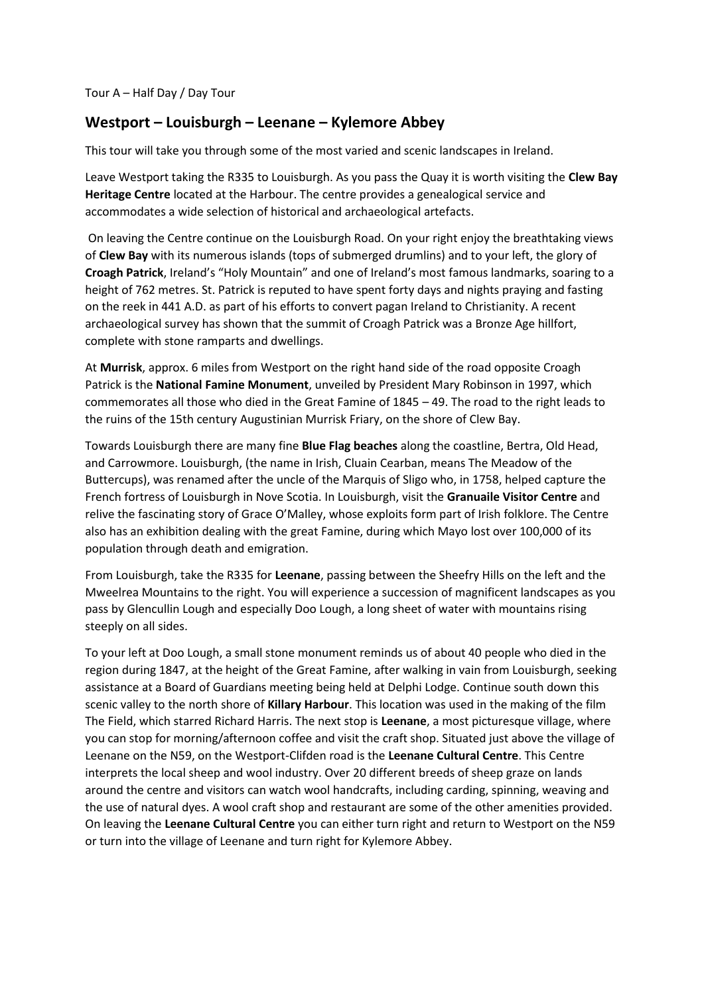## **Westport – Louisburgh – Leenane – Kylemore Abbey**

This tour will take you through some of the most varied and scenic landscapes in Ireland.

Leave Westport taking the R335 to Louisburgh. As you pass the Quay it is worth visiting the **Clew Bay Heritage Centre** located at the Harbour. The centre provides a genealogical service and accommodates a wide selection of historical and archaeological artefacts.

On leaving the Centre continue on the Louisburgh Road. On your right enjoy the breathtaking views of **Clew Bay** with its numerous islands (tops of submerged drumlins) and to your left, the glory of **Croagh Patrick**, Ireland's "Holy Mountain" and one of Ireland's most famous landmarks, soaring to a height of 762 metres. St. Patrick is reputed to have spent forty days and nights praying and fasting on the reek in 441 A.D. as part of his efforts to convert pagan Ireland to Christianity. A recent archaeological survey has shown that the summit of Croagh Patrick was a Bronze Age hillfort, complete with stone ramparts and dwellings.

At **Murrisk**, approx. 6 miles from Westport on the right hand side of the road opposite Croagh Patrick is the **National Famine Monument**, unveiled by President Mary Robinson in 1997, which commemorates all those who died in the Great Famine of 1845 – 49. The road to the right leads to the ruins of the 15th century Augustinian Murrisk Friary, on the shore of Clew Bay.

Towards Louisburgh there are many fine **Blue Flag beaches** along the coastline, Bertra, Old Head, and Carrowmore. Louisburgh, (the name in Irish, Cluain Cearban, means The Meadow of the Buttercups), was renamed after the uncle of the Marquis of Sligo who, in 1758, helped capture the French fortress of Louisburgh in Nove Scotia. In Louisburgh, visit the **Granuaile Visitor Centre** and relive the fascinating story of Grace O'Malley, whose exploits form part of Irish folklore. The Centre also has an exhibition dealing with the great Famine, during which Mayo lost over 100,000 of its population through death and emigration.

From Louisburgh, take the R335 for **Leenane**, passing between the Sheefry Hills on the left and the Mweelrea Mountains to the right. You will experience a succession of magnificent landscapes as you pass by Glencullin Lough and especially Doo Lough, a long sheet of water with mountains rising steeply on all sides.

To your left at Doo Lough, a small stone monument reminds us of about 40 people who died in the region during 1847, at the height of the Great Famine, after walking in vain from Louisburgh, seeking assistance at a Board of Guardians meeting being held at Delphi Lodge. Continue south down this scenic valley to the north shore of **Killary Harbour**. This location was used in the making of the film The Field, which starred Richard Harris. The next stop is **Leenane**, a most picturesque village, where you can stop for morning/afternoon coffee and visit the craft shop. Situated just above the village of Leenane on the N59, on the Westport-Clifden road is the **Leenane Cultural Centre**. This Centre interprets the local sheep and wool industry. Over 20 different breeds of sheep graze on lands around the centre and visitors can watch wool handcrafts, including carding, spinning, weaving and the use of natural dyes. A wool craft shop and restaurant are some of the other amenities provided. On leaving the **Leenane Cultural Centre** you can either turn right and return to Westport on the N59 or turn into the village of Leenane and turn right for Kylemore Abbey.